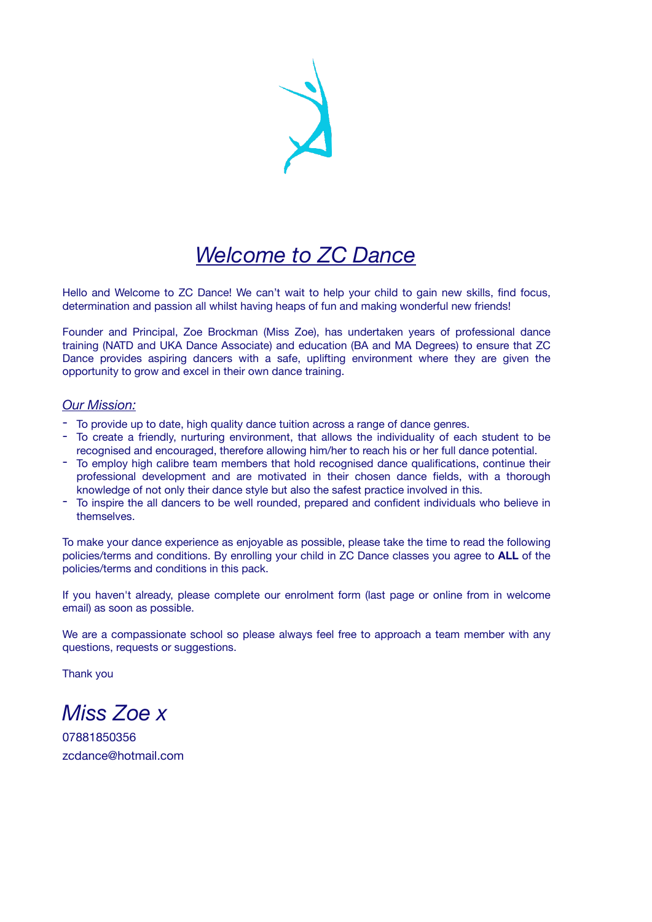# *Welcome to ZC Dance*

Hello and Welcome to ZC Dance! We can't wait to help your child to gain new skills, find focus, determination and passion all whilst having heaps of fun and making wonderful new friends!

Founder and Principal, Zoe Brockman (Miss Zoe), has undertaken years of professional dance training (NATD and UKA Dance Associate) and education (BA and MA Degrees) to ensure that ZC Dance provides aspiring dancers with a safe, uplifting environment where they are given the opportunity to grow and excel in their own dance training.

## *Our Mission:*

- To provide up to date, high quality dance tuition across a range of dance genres.
- To create a friendly, nurturing environment, that allows the individuality of each student to be recognised and encouraged, therefore allowing him/her to reach his or her full dance potential.
- To employ high calibre team members that hold recognised dance qualifications, continue their professional development and are motivated in their chosen dance fields, with a thorough knowledge of not only their dance style but also the safest practice involved in this.
- To inspire the all dancers to be well rounded, prepared and confident individuals who believe in themselves.

To make your dance experience as enjoyable as possible, please take the time to read the following policies/terms and conditions. By enrolling your child in ZC Dance classes you agree to **ALL** of the policies/terms and conditions in this pack.

If you haven't already, please complete our enrolment form (last page or online from in welcome email) as soon as possible.

We are a compassionate school so please always feel free to approach a team member with any questions, requests or suggestions.

Thank you

*Miss Zoe x* 

07881850356 zcdance@hotmail.com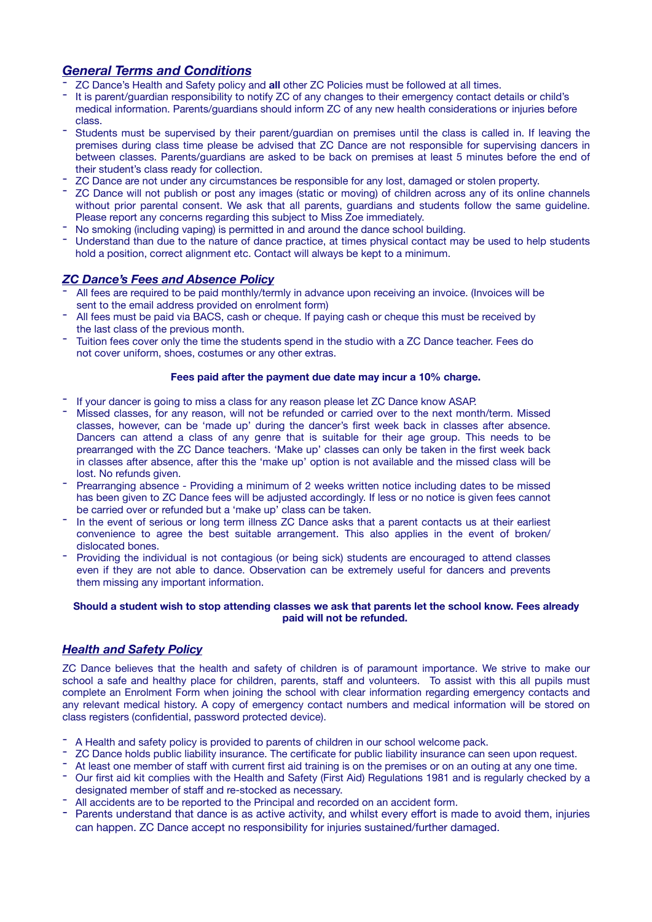# *General Terms and Conditions*

- ZC Dance's Health and Safety policy and **all** other ZC Policies must be followed at all times.<br>It is parent/guardian responsibility to notify ZC of any changes to their emergency contact details or child's
- medical information. Parents/guardians should inform ZC of any new health considerations or injuries before
- class.<br>Students must be supervised by their parent/guardian on premises until the class is called in. If leaving the premises during class time please be advised that ZC Dance are not responsible for supervising dancers in between classes. Parents/guardians are asked to be back on premises at least 5 minutes before the end of
- 
- their student's class ready for collection.<br>The responsible for any lost, damaged or stolen property.<br>The ZC Dance will not publish or post any images (static or moving) of children across any of its online channels without prior parental consent. We ask that all parents, guardians and students follow the same guideline. Please report any concerns regarding this subject to Miss Zoe immediately.<br>The smoking (including vaping) is permitted in and around the dance school building.<br>The Understand than due to the nature of dance practice, at ti
- 
- hold a position, correct alignment etc. Contact will always be kept to a minimum.

# *ZC Dance's Fees and Absence Policy*

- All fees are required to be paid monthly/termly in advance upon receiving an invoice. (Invoices will be sent to the email address provided on enrolment form)
- All fees must be paid via BACS, cash or cheque. If paying cash or cheque this must be received by the last class of the previous month.
- Tuition fees cover only the time the students spend in the studio with a ZC Dance teacher. Fees do not cover uniform, shoes, costumes or any other extras.

#### **Fees paid after the payment due date may incur a 10% charge.**

- 
- If your dancer is going to miss a class for any reason please let ZC Dance know ASAP.<br>- Missed classes, for any reason, will not be refunded or carried over to the next month/term. Missed classes, however, can be 'made up' during the dancer's first week back in classes after absence. Dancers can attend a class of any genre that is suitable for their age group. This needs to be prearranged with the ZC Dance teachers. 'Make up' classes can only be taken in the first week back in classes after absence, after this the 'make up' option is not available and the missed class will be
- Prearranging absence Providing a minimum of 2 weeks written notice including dates to be missed has been given to ZC Dance fees will be adjusted accordingly. If less or no notice is given fees cannot
- be carried over or refunded but a 'make up' class can be taken.<br>- In the event of serious or long term illness ZC Dance asks that a parent contacts us at their earliest convenience to agree the best suitable arrangement. This also applies in the event of broken/
- dislocated bones.<br>- Providing the individual is not contagious (or being sick) students are encouraged to attend classes even if they are not able to dance. Observation can be extremely useful for dancers and prevents them missing any important information.

#### **Should a student wish to stop attending classes we ask that parents let the school know. Fees already paid will not be refunded.**

# *Health and Safety Policy*

ZC Dance believes that the health and safety of children is of paramount importance. We strive to make our school a safe and healthy place for children, parents, staff and volunteers. To assist with this all pupils must complete an Enrolment Form when joining the school with clear information regarding emergency contacts and any relevant medical history. A copy of emergency contact numbers and medical information will be stored on class registers (confidential, password protected device).

- 
- 
- A Health and safety policy is provided to parents of children in our school welcome pack.<br>
 ZC Dance holds public liability insurance. The certificate for public liability insurance can seen upon request.<br>
 At least o
- designated member of staff and re-stocked as necessary.<br>- All accidents are to be reported to the Principal and recorded on an accident form.
- 
- Parents understand that dance is as active activity, and whilst every effort is made to avoid them, injuries can happen. ZC Dance accept no responsibility for injuries sustained/further damaged.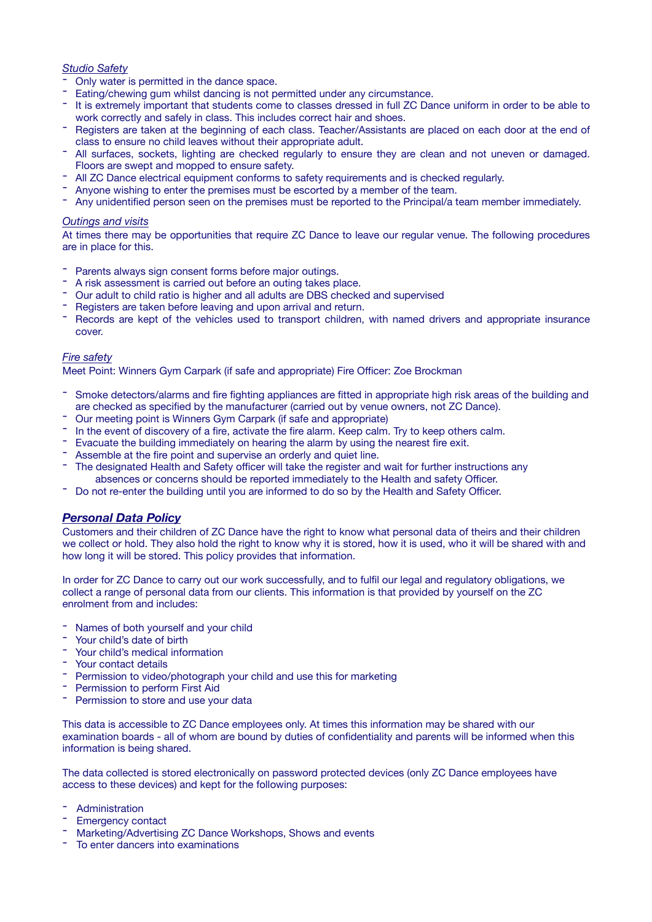#### *Studio Safety*

- 
- 
- Only water is permitted in the dance space.<br>The Eating/chewing gum whilst dancing is not permitted under any circumstance.<br>The is extremely important that students come to classes dressed in full ZC Dance uniform in orde
- work correctly and safely in class. This includes correct hair and shoes.<br>- Registers are taken at the beginning of each class. Teacher/Assistants are placed on each door at the end of<br>- class to ensure no child leaves wit
- All surfaces, sockets, lighting are checked regularly to ensure they are clean and not uneven or damaged. Floors are swept and mopped to ensure safety.<br>
The All ZC Dance electrical equipment conforms to safety requirements and is checked regularly.<br>
The Anyone wishing to enter the premises must be escorted by a member of the t
- 
- 
- 

#### *Outings and visits*

At times there may be opportunities that require ZC Dance to leave our regular venue. The following procedures are in place for this.

- 
- 
- 
- 
- Parents always sign consent forms before major outings.<br>
 A risk assessment is carried out before an outing takes place.<br>
 Our adult to child ratio is higher and all adults are DBS checked and supervised<br>
 Registers a cover.

#### *Fire safety*

Meet Point: Winners Gym Carpark (if safe and appropriate) Fire Officer: Zoe Brockman

- Smoke detectors/alarms and fire fighting appliances are fitted in appropriate high risk areas of the building and are checked as specified by the manufacturer (carried out by venue owners, not ZC Dance).<br>
The event of discovery of a fire, activate the fire alarm. Keep calm. Try to keep others calm.<br>
The event of discovery of a fire, a
- 
- 
- 
- 
- 
- absences or concerns should be reported immediately to the Health and safety Officer.<br>- Do not re-enter the building until you are informed to do so by the Health and Safety Officer.

#### *Personal Data Policy*

Customers and their children of ZC Dance have the right to know what personal data of theirs and their children we collect or hold. They also hold the right to know why it is stored, how it is used, who it will be shared with and how long it will be stored. This policy provides that information.

In order for ZC Dance to carry out our work successfully, and to fulfil our legal and regulatory obligations, we collect a range of personal data from our clients. This information is that provided by yourself on the ZC enrolment from and includes:

- 
- 
- 
- 
- Names of both yourself and your child<br>
 Your child's date of birth<br>
 Your child's medical information<br>
 Your contact details<br>
 Permission to video/photograph your child and use this for marketing<br>
 Permission to per
- 
- 

This data is accessible to ZC Dance employees only. At times this information may be shared with our examination boards - all of whom are bound by duties of confidentiality and parents will be informed when this information is being shared.

The data collected is stored electronically on password protected devices (only ZC Dance employees have access to these devices) and kept for the following purposes:

- 
- 
- Administration<br>- Emergency contact<br>- Marketing/Advertising ZC Dance Workshops, Shows and events<br>- To enter dancers into examinations
-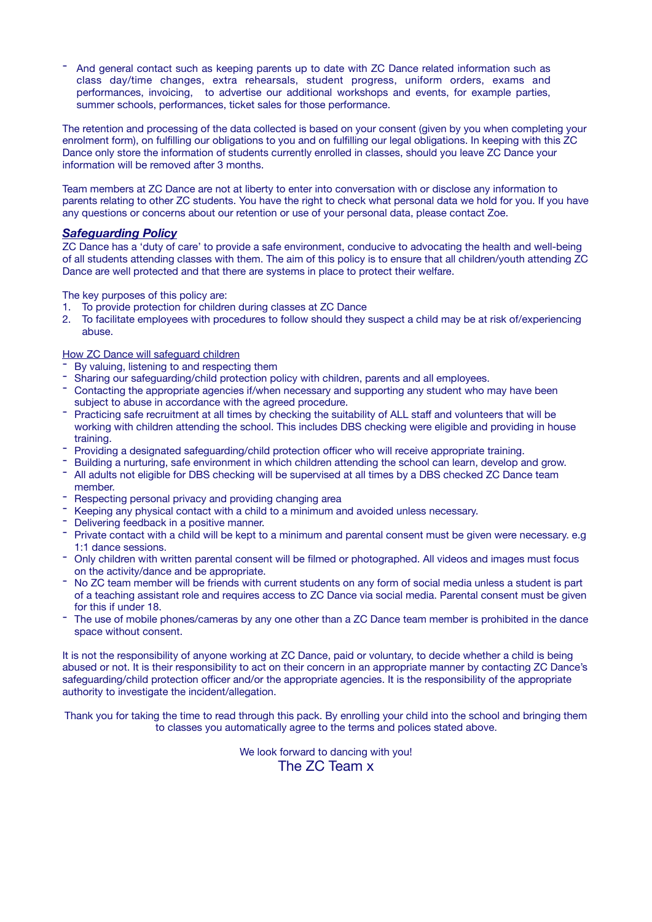- And general contact such as keeping parents up to date with ZC Dance related information such as class day/time changes, extra rehearsals, student progress, uniform orders, exams and performances, invoicing, to advertise our additional workshops and events, for example parties, summer schools, performances, ticket sales for those performance.

The retention and processing of the data collected is based on your consent (given by you when completing your enrolment form), on fulfilling our obligations to you and on fulfilling our legal obligations. In keeping with this ZC Dance only store the information of students currently enrolled in classes, should you leave ZC Dance your information will be removed after 3 months.

Team members at ZC Dance are not at liberty to enter into conversation with or disclose any information to parents relating to other ZC students. You have the right to check what personal data we hold for you. If you have any questions or concerns about our retention or use of your personal data, please contact Zoe.

## *Safeguarding Policy*

ZC Dance has a 'duty of care' to provide a safe environment, conducive to advocating the health and well-being of all students attending classes with them. The aim of this policy is to ensure that all children/youth attending ZC Dance are well protected and that there are systems in place to protect their welfare.

The key purposes of this policy are:

- 1. To provide protection for children during classes at ZC Dance<br>2. To facilitate employees with procedures to follow should they
- 2. To facilitate employees with procedures to follow should they suspect a child may be at risk of/experiencing abuse.

## How ZC Dance will safeguard children

- 
- 
- The By valuing, listening to and respecting them<br>The Sharing our safeguarding/child protection policy with children, parents and all employees.<br>The Contacting the appropriate agencies if/when necessary and supporting any s subject to abuse in accordance with the agreed procedure.<br>- Practicing safe recruitment at all times by checking the suitability of ALL staff and volunteers that will be
- working with children attending the school. This includes DBS checking were eligible and providing in house
- 
- 
- training.<br>
The Providing a designated safeguarding/child protection officer who will receive appropriate training.<br>
The Building a nurturing, safe environment in which children attending the school can learn, develop and g
- 
- Respecting personal privacy and providing changing area<br>
 Keeping any physical contact with a child to a minimum and avoided unless necessary.<br>
 Delivering feedback in a positive manner.<br>
 Private contact with a child
- 
- 
- 1:1 dance sessions.<br>- Only children with written parental consent will be filmed or photographed. All videos and images must focus
- on the activity/dance and be appropriate.<br>- No ZC team member will be friends with current students on any form of social media unless a student is part of a teaching assistant role and requires access to ZC Dance via social media. Parental consent must be given
- for this if under 18.<br>- The use of mobile phones/cameras by any one other than a ZC Dance team member is prohibited in the dance space without consent.

It is not the responsibility of anyone working at ZC Dance, paid or voluntary, to decide whether a child is being abused or not. It is their responsibility to act on their concern in an appropriate manner by contacting ZC Dance's safeguarding/child protection officer and/or the appropriate agencies. It is the responsibility of the appropriate authority to investigate the incident/allegation.

Thank you for taking the time to read through this pack. By enrolling your child into the school and bringing them to classes you automatically agree to the terms and polices stated above.

> We look forward to dancing with you! The ZC Team x